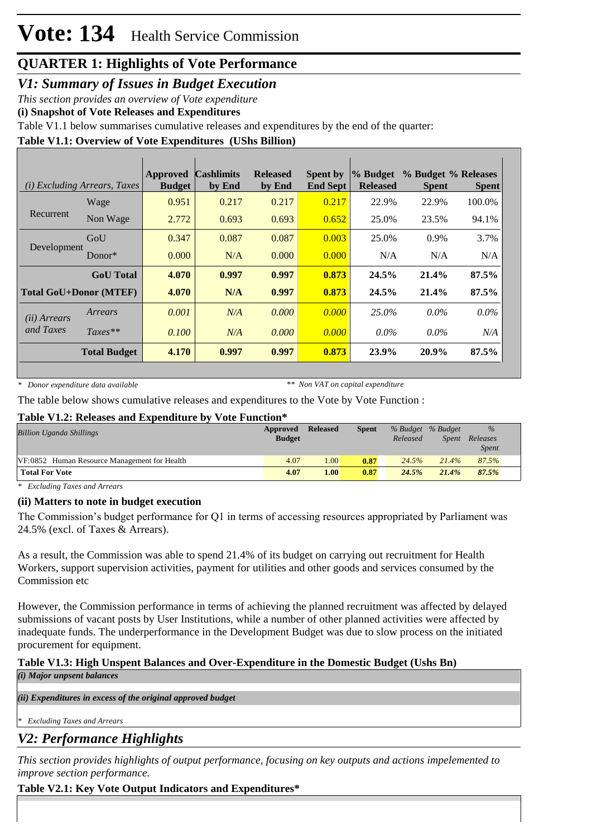# **QUARTER 1: Highlights of Vote Performance**

*V1: Summary of Issues in Budget Execution*

*This section provides an overview of Vote expenditure* 

**(i) Snapshot of Vote Releases and Expenditures**

Table V1.1 below summarises cumulative releases and expenditures by the end of the quarter:

### **Table V1.1: Overview of Vote Expenditures (UShs Billion)**

| ( <i>i</i> ) Excluding Arrears, Taxes |                               | <b>Approved</b><br><b>Budget</b> | <b>Cashlimits</b><br>by End | <b>Released</b><br>by End | <b>Spent by</b><br><b>End Sept</b> | % Budget<br><b>Released</b> | % Budget % Releases<br><b>Spent</b> | <b>Spent</b> |
|---------------------------------------|-------------------------------|----------------------------------|-----------------------------|---------------------------|------------------------------------|-----------------------------|-------------------------------------|--------------|
|                                       | Wage                          | 0.951                            | 0.217                       | 0.217                     | 0.217                              | 22.9%                       | 22.9%                               | 100.0%       |
| Recurrent                             | Non Wage                      | 2.772                            | 0.693                       | 0.693                     | 0.652                              | 25.0%                       | 23.5%                               | 94.1%        |
|                                       | GoU                           | 0.347                            | 0.087                       | 0.087                     | 0.003                              | 25.0%                       | 0.9%                                | 3.7%         |
| Development                           | Donor $*$                     | 0.000                            | N/A                         | 0.000                     | 0.000                              | N/A                         | N/A                                 | N/A          |
|                                       | <b>GoU</b> Total              | 4.070                            | 0.997                       | 0.997                     | 0.873                              | 24.5%                       | 21.4%                               | 87.5%        |
|                                       | <b>Total GoU+Donor (MTEF)</b> | 4.070                            | N/A                         | 0.997                     | 0.873                              | 24.5%                       | 21.4%                               | 87.5%        |
| ( <i>ii</i> ) Arrears                 | Arrears                       | 0.001                            | N/A                         | 0.000                     | 0.000                              | 25.0%                       | $0.0\%$                             | $0.0\%$      |
| and Taxes                             | $Taxes**$                     | 0.100                            | N/A                         | 0.000                     | 0.000                              | $0.0\%$                     | $0.0\%$                             | N/A          |
|                                       | <b>Total Budget</b>           | 4.170                            | 0.997                       | 0.997                     | 0.873                              | 23.9%                       | 20.9%                               | 87.5%        |

*\* Donor expenditure data available*

*\*\* Non VAT on capital expenditure*

The table below shows cumulative releases and expenditures to the Vote by Vote Function :

#### **Table V1.2: Releases and Expenditure by Vote Function\***

| <b>Billion Uganda Shillings</b>              | Approved<br><b>Budget</b> | <b>Released</b> | <b>Spent</b> | Released | % Budget % Budget<br>Spent | $\%$<br>Releases<br><i>Spent</i> |
|----------------------------------------------|---------------------------|-----------------|--------------|----------|----------------------------|----------------------------------|
| VF:0852 Human Resource Management for Health | 4.07                      | 1.00            | 0.87         | 24.5%    | 21.4%                      | 87.5%                            |
| <b>Total For Vote</b>                        | 4.07                      | 1.00            | 0.87         | 24.5%    | 21.4%                      | 87.5%                            |

*\* Excluding Taxes and Arrears*

### **(ii) Matters to note in budget execution**

The Commission's budget performance for Q1 in terms of accessing resources appropriated by Parliament was 24.5% (excl. of Taxes & Arrears).

As a result, the Commission was able to spend 21.4% of its budget on carrying out recruitment for Health Workers, support supervision activities, payment for utilities and other goods and services consumed by the Commission etc

However, the Commission performance in terms of achieving the planned recruitment was affected by delayed submissions of vacant posts by User Institutions, while a number of other planned activities were affected by inadequate funds. The underperformance in the Development Budget was due to slow process on the initiated procurement for equipment.

### **Table V1.3: High Unspent Balances and Over-Expenditure in the Domestic Budget (Ushs Bn)**

*(i) Major unpsent balances*

*(ii) Expenditures in excess of the original approved budget*

*\* Excluding Taxes and Arrears*

## *V2: Performance Highlights*

*This section provides highlights of output performance, focusing on key outputs and actions impelemented to improve section performance.*

## **Table V2.1: Key Vote Output Indicators and Expenditures\***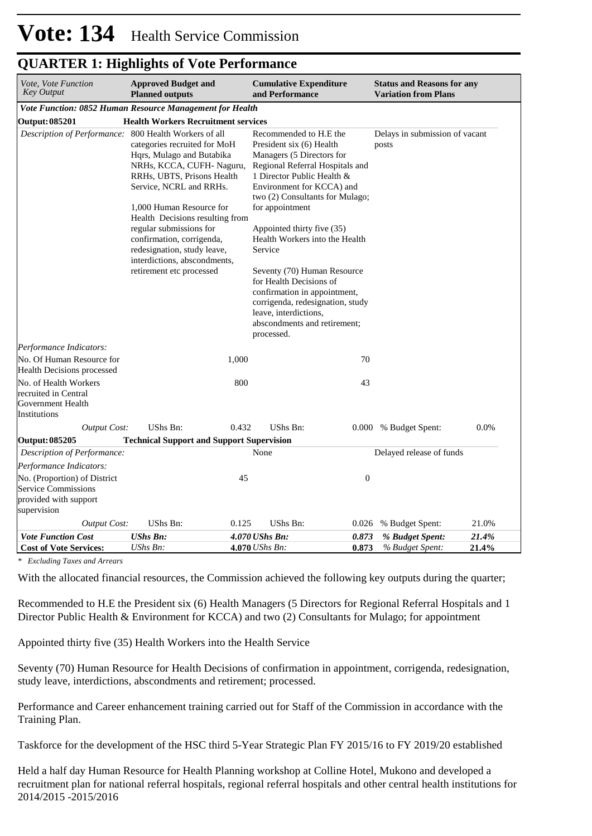| Vote, Vote Function<br><b>Key Output</b>                                                           | <b>Approved Budget and</b><br><b>Planned outputs</b>                                                                                                                                                                                                                                                                                                              |       | <b>Cumulative Expenditure</b><br>and Performance                                                                                                                                                                                                                                                                                                                                                                                                                                                                    |                  | <b>Status and Reasons for any</b><br><b>Variation from Plans</b> |       |  |  |
|----------------------------------------------------------------------------------------------------|-------------------------------------------------------------------------------------------------------------------------------------------------------------------------------------------------------------------------------------------------------------------------------------------------------------------------------------------------------------------|-------|---------------------------------------------------------------------------------------------------------------------------------------------------------------------------------------------------------------------------------------------------------------------------------------------------------------------------------------------------------------------------------------------------------------------------------------------------------------------------------------------------------------------|------------------|------------------------------------------------------------------|-------|--|--|
| Vote Function: 0852 Human Resource Management for Health                                           |                                                                                                                                                                                                                                                                                                                                                                   |       |                                                                                                                                                                                                                                                                                                                                                                                                                                                                                                                     |                  |                                                                  |       |  |  |
| <b>Output: 085201</b>                                                                              | <b>Health Workers Recruitment services</b>                                                                                                                                                                                                                                                                                                                        |       |                                                                                                                                                                                                                                                                                                                                                                                                                                                                                                                     |                  |                                                                  |       |  |  |
| Description of Performance: 800 Health Workers of all                                              | categories recruited for MoH<br>Hqrs, Mulago and Butabika<br>NRHs, KCCA, CUFH- Naguru,<br>RRHs, UBTS, Prisons Health<br>Service, NCRL and RRHs.<br>1,000 Human Resource for<br>Health Decisions resulting from<br>regular submissions for<br>confirmation, corrigenda,<br>redesignation, study leave,<br>interdictions, abscondments,<br>retirement etc processed |       | Recommended to H.E the<br>President six (6) Health<br>Managers (5 Directors for<br>Regional Referral Hospitals and<br>1 Director Public Health &<br>Environment for KCCA) and<br>two (2) Consultants for Mulago;<br>for appointment<br>Appointed thirty five (35)<br>Health Workers into the Health<br>Service<br>Seventy (70) Human Resource<br>for Health Decisions of<br>confirmation in appointment,<br>corrigenda, redesignation, study<br>leave, interdictions,<br>abscondments and retirement;<br>processed. |                  | Delays in submission of vacant<br>posts                          |       |  |  |
| Performance Indicators:                                                                            |                                                                                                                                                                                                                                                                                                                                                                   |       |                                                                                                                                                                                                                                                                                                                                                                                                                                                                                                                     |                  |                                                                  |       |  |  |
| No. Of Human Resource for<br>Health Decisions processed                                            |                                                                                                                                                                                                                                                                                                                                                                   | 1,000 |                                                                                                                                                                                                                                                                                                                                                                                                                                                                                                                     | 70               |                                                                  |       |  |  |
| No. of Health Workers<br>recruited in Central<br>Government Health<br>Institutions                 |                                                                                                                                                                                                                                                                                                                                                                   | 800   |                                                                                                                                                                                                                                                                                                                                                                                                                                                                                                                     | 43               |                                                                  |       |  |  |
| <b>Output Cost:</b>                                                                                | UShs Bn:                                                                                                                                                                                                                                                                                                                                                          | 0.432 | UShs Bn:                                                                                                                                                                                                                                                                                                                                                                                                                                                                                                            |                  | 0.000 % Budget Spent:                                            | 0.0%  |  |  |
| Output: 085205                                                                                     | <b>Technical Support and Support Supervision</b>                                                                                                                                                                                                                                                                                                                  |       |                                                                                                                                                                                                                                                                                                                                                                                                                                                                                                                     |                  |                                                                  |       |  |  |
| Description of Performance:                                                                        |                                                                                                                                                                                                                                                                                                                                                                   |       | None                                                                                                                                                                                                                                                                                                                                                                                                                                                                                                                |                  | Delayed release of funds                                         |       |  |  |
| Performance Indicators:                                                                            |                                                                                                                                                                                                                                                                                                                                                                   |       |                                                                                                                                                                                                                                                                                                                                                                                                                                                                                                                     |                  |                                                                  |       |  |  |
| No. (Proportion) of District<br><b>Service Commissions</b><br>provided with support<br>supervision |                                                                                                                                                                                                                                                                                                                                                                   | 45    |                                                                                                                                                                                                                                                                                                                                                                                                                                                                                                                     | $\boldsymbol{0}$ |                                                                  |       |  |  |
| <b>Output Cost:</b>                                                                                | UShs Bn:                                                                                                                                                                                                                                                                                                                                                          | 0.125 | UShs Bn:                                                                                                                                                                                                                                                                                                                                                                                                                                                                                                            | 0.026            | % Budget Spent:                                                  | 21.0% |  |  |
| <b>Vote Function Cost</b>                                                                          | <b>UShs Bn:</b>                                                                                                                                                                                                                                                                                                                                                   |       | 4.070 UShs Bn:                                                                                                                                                                                                                                                                                                                                                                                                                                                                                                      | 0.873            | % Budget Spent:                                                  | 21.4% |  |  |
| <b>Cost of Vote Services:</b>                                                                      | $UShs Bn$ :                                                                                                                                                                                                                                                                                                                                                       |       | 4.070 <i>UShs Bn</i> :                                                                                                                                                                                                                                                                                                                                                                                                                                                                                              | 0.873            | % Budget Spent:                                                  | 21.4% |  |  |

## **QUARTER 1: Highlights of Vote Performance**

*\* Excluding Taxes and Arrears*

With the allocated financial resources, the Commission achieved the following key outputs during the quarter;

Recommended to H.E the President six (6) Health Managers (5 Directors for Regional Referral Hospitals and 1 Director Public Health & Environment for KCCA) and two (2) Consultants for Mulago; for appointment

Appointed thirty five (35) Health Workers into the Health Service

Seventy (70) Human Resource for Health Decisions of confirmation in appointment, corrigenda, redesignation, study leave, interdictions, abscondments and retirement; processed.

Performance and Career enhancement training carried out for Staff of the Commission in accordance with the Training Plan.

Taskforce for the development of the HSC third 5-Year Strategic Plan FY 2015/16 to FY 2019/20 established

Held a half day Human Resource for Health Planning workshop at Colline Hotel, Mukono and developed a recruitment plan for national referral hospitals, regional referral hospitals and other central health institutions for 2014/2015 -2015/2016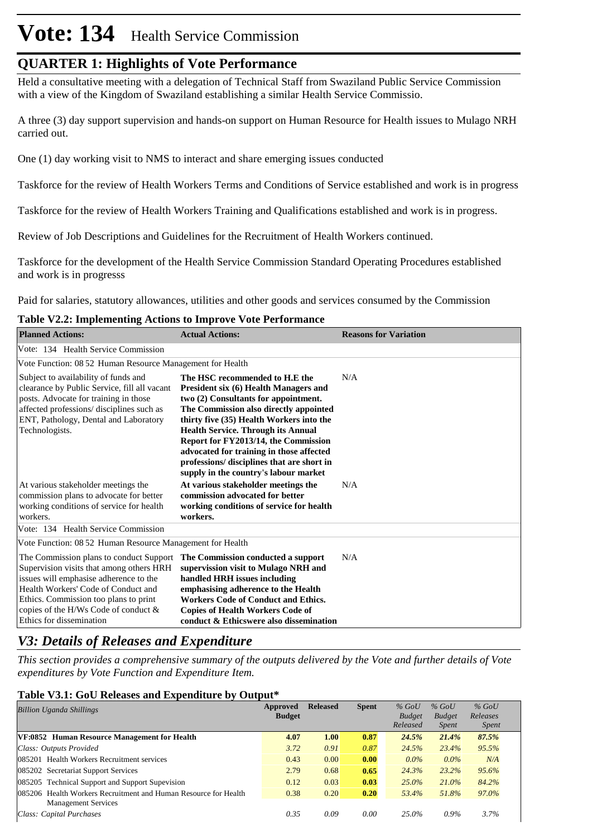# **Vote: 134** Health Service Commission

# **QUARTER 1: Highlights of Vote Performance**

Held a consultative meeting with a delegation of Technical Staff from Swaziland Public Service Commission with a view of the Kingdom of Swaziland establishing a similar Health Service Commissio.

A three (3) day support supervision and hands-on support on Human Resource for Health issues to Mulago NRH carried out.

One (1) day working visit to NMS to interact and share emerging issues conducted

Taskforce for the review of Health Workers Terms and Conditions of Service established and work is in progress

Taskforce for the review of Health Workers Training and Qualifications established and work is in progress.

Review of Job Descriptions and Guidelines for the Recruitment of Health Workers continued.

Taskforce for the development of the Health Service Commission Standard Operating Procedures established and work is in progresss

Paid for salaries, statutory allowances, utilities and other goods and services consumed by the Commission

#### **Table V2.2: Implementing Actions to Improve Vote Performance**

| <b>Planned Actions:</b>                                                                                                                                                                                                                                                              | <b>Actual Actions:</b>                                                                                                                                                                                                                                                                                                                                                                                                        | <b>Reasons for Variation</b> |
|--------------------------------------------------------------------------------------------------------------------------------------------------------------------------------------------------------------------------------------------------------------------------------------|-------------------------------------------------------------------------------------------------------------------------------------------------------------------------------------------------------------------------------------------------------------------------------------------------------------------------------------------------------------------------------------------------------------------------------|------------------------------|
| Vote: 134 Health Service Commission                                                                                                                                                                                                                                                  |                                                                                                                                                                                                                                                                                                                                                                                                                               |                              |
| Vote Function: 08.52 Human Resource Management for Health                                                                                                                                                                                                                            |                                                                                                                                                                                                                                                                                                                                                                                                                               |                              |
| Subject to availability of funds and<br>clearance by Public Service, fill all vacant<br>posts. Advocate for training in those<br>affected professions/ disciplines such as<br>ENT, Pathology, Dental and Laboratory<br>Technologists.                                                | The HSC recommended to H.E the<br>President six (6) Health Managers and<br>two (2) Consultants for appointment.<br>The Commission also directly appointed<br>thirty five (35) Health Workers into the<br><b>Health Service. Through its Annual</b><br>Report for FY2013/14, the Commission<br>advocated for training in those affected<br>professions/ disciplines that are short in<br>supply in the country's labour market | N/A                          |
| At various stakeholder meetings the<br>commission plans to advocate for better<br>working conditions of service for health<br>workers.                                                                                                                                               | At various stakeholder meetings the<br>commission advocated for better<br>working conditions of service for health<br>workers.                                                                                                                                                                                                                                                                                                | N/A                          |
| Vote: 134 Health Service Commission                                                                                                                                                                                                                                                  |                                                                                                                                                                                                                                                                                                                                                                                                                               |                              |
| Vote Function: 08.52 Human Resource Management for Health                                                                                                                                                                                                                            |                                                                                                                                                                                                                                                                                                                                                                                                                               |                              |
| The Commission plans to conduct Support<br>Supervision visits that among others HRH<br>issues will emphasise adherence to the<br>Health Workers' Code of Conduct and<br>Ethics. Commission too plans to print<br>copies of the H/Ws Code of conduct $\&$<br>Ethics for dissemination | The Commission conducted a support<br>supervission visit to Mulago NRH and<br>handled HRH issues including<br>emphasising adherence to the Health<br><b>Workers Code of Conduct and Ethics.</b><br><b>Copies of Health Workers Code of</b><br>conduct & Ethicswere also dissemination                                                                                                                                         | N/A                          |

# *V3: Details of Releases and Expenditure*

*This section provides a comprehensive summary of the outputs delivered by the Vote and further details of Vote expenditures by Vote Function and Expenditure Item.*

#### **Table V3.1: GoU Releases and Expenditure by Output\***

| <b>Billion Uganda Shillings</b>                                 | Approved<br><b>Budget</b> | <b>Released</b> | <b>Spent</b> | $%$ GoU<br><b>Budget</b> | $%$ GoU<br><b>Budget</b> | $%$ GoU<br>Releases |  |
|-----------------------------------------------------------------|---------------------------|-----------------|--------------|--------------------------|--------------------------|---------------------|--|
|                                                                 |                           |                 |              | Released                 | <i>Spent</i>             | <i>Spent</i>        |  |
| VF:0852 Human Resource Management for Health                    | 4.07                      | 1.00            | 0.87         | 24.5%                    | 21.4%                    | 87.5%               |  |
| Class: Outputs Provided                                         | 3.72                      | 0.91            | 0.87         | 24.5%                    | 23.4%                    | 95.5%               |  |
| 085201 Health Workers Recruitment services                      | 0.43                      | 0.00            | 0.00         | $0.0\%$                  | $0.0\%$                  | N/A                 |  |
| 085202 Secretariat Support Services                             | 2.79                      | 0.68            | 0.65         | 24.3%                    | 23.2%                    | 95.6%               |  |
| 085205 Technical Support and Support Supevision                 | 0.12                      | 0.03            | 0.03         | $25.0\%$                 | $21.0\%$                 | 84.2%               |  |
| 085206 Health Workers Recruitment and Human Resource for Health | 0.38                      | 0.20            | 0.20         | 53.4%                    | 51.8%                    | 97.0%               |  |
| <b>Management Services</b>                                      |                           |                 |              |                          |                          |                     |  |
| Class: Capital Purchases                                        | 0.35                      | 0.09            | 0.00         | 25.0%                    | $0.9\%$                  | 3.7%                |  |